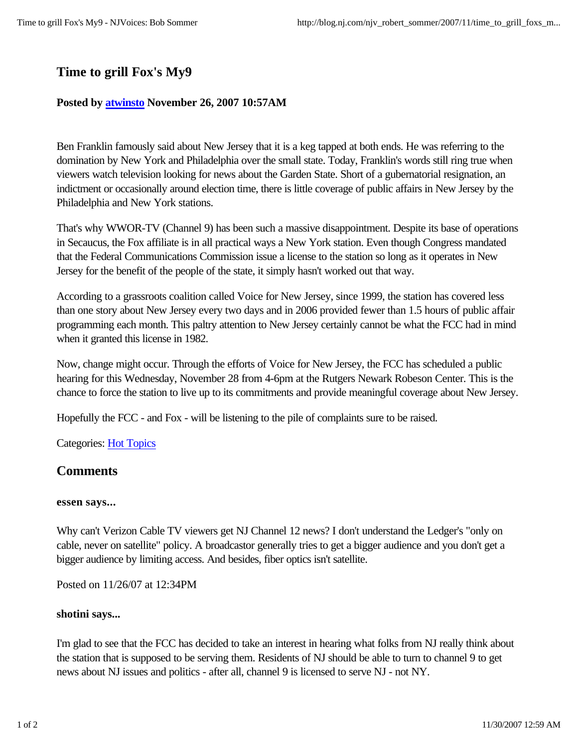# **Time to grill Fox's My9**

### **Posted by atwinsto November 26, 2007 10:57AM**

Ben Franklin famously said about New Jersey that it is a keg tapped at both ends. He was referring to the domination by New York and Philadelphia over the small state. Today, Franklin's words still ring true when viewers watch television looking for news about the Garden State. Short of a gubernatorial resignation, an indictment or occasionally around election time, there is little coverage of public affairs in New Jersey by the Philadelphia and New York stations.

That's why WWOR-TV (Channel 9) has been such a massive disappointment. Despite its base of operations in Secaucus, the Fox affiliate is in all practical ways a New York station. Even though Congress mandated that the Federal Communications Commission issue a license to the station so long as it operates in New Jersey for the benefit of the people of the state, it simply hasn't worked out that way.

According to a grassroots coalition called Voice for New Jersey, since 1999, the station has covered less than one story about New Jersey every two days and in 2006 provided fewer than 1.5 hours of public affair programming each month. This paltry attention to New Jersey certainly cannot be what the FCC had in mind when it granted this license in 1982.

Now, change might occur. Through the efforts of Voice for New Jersey, the FCC has scheduled a public hearing for this Wednesday, November 28 from 4-6pm at the Rutgers Newark Robeson Center. This is the chance to force the station to live up to its commitments and provide meaningful coverage about New Jersey.

Hopefully the FCC - and Fox - will be listening to the pile of complaints sure to be raised.

Categories: Hot Topics

## **Comments**

### **essen says...**

Why can't Verizon Cable TV viewers get NJ Channel 12 news? I don't understand the Ledger's "only on cable, never on satellite" policy. A broadcastor generally tries to get a bigger audience and you don't get a bigger audience by limiting access. And besides, fiber optics isn't satellite.

Posted on 11/26/07 at 12:34PM

### **shotini says...**

I'm glad to see that the FCC has decided to take an interest in hearing what folks from NJ really think about the station that is supposed to be serving them. Residents of NJ should be able to turn to channel 9 to get news about NJ issues and politics - after all, channel 9 is licensed to serve NJ - not NY.